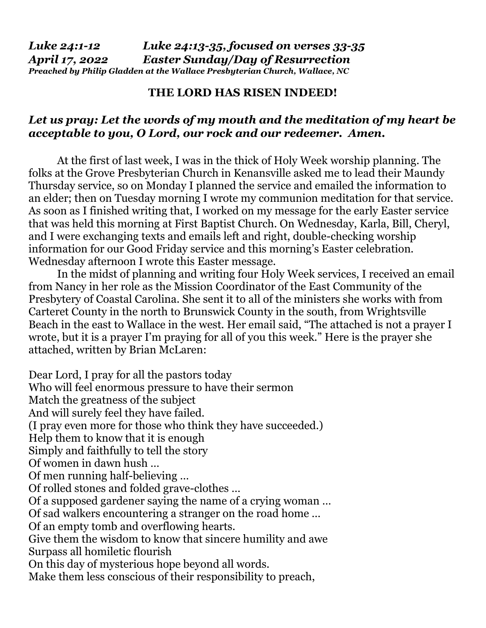## **THE LORD HAS RISEN INDEED!**

## *Let us pray: Let the words of my mouth and the meditation of my heart be acceptable to you, O Lord, our rock and our redeemer. Amen.*

 At the first of last week, I was in the thick of Holy Week worship planning. The folks at the Grove Presbyterian Church in Kenansville asked me to lead their Maundy Thursday service, so on Monday I planned the service and emailed the information to an elder; then on Tuesday morning I wrote my communion meditation for that service. As soon as I finished writing that, I worked on my message for the early Easter service that was held this morning at First Baptist Church. On Wednesday, Karla, Bill, Cheryl, and I were exchanging texts and emails left and right, double-checking worship information for our Good Friday service and this morning's Easter celebration. Wednesday afternoon I wrote this Easter message.

 In the midst of planning and writing four Holy Week services, I received an email from Nancy in her role as the Mission Coordinator of the East Community of the Presbytery of Coastal Carolina. She sent it to all of the ministers she works with from Carteret County in the north to Brunswick County in the south, from Wrightsville Beach in the east to Wallace in the west. Her email said, "The attached is not a prayer I wrote, but it is a prayer I'm praying for all of you this week." Here is the prayer she attached, written by Brian McLaren:

Dear Lord, I pray for all the pastors today Who will feel enormous pressure to have their sermon Match the greatness of the subject And will surely feel they have failed. (I pray even more for those who think they have succeeded.) Help them to know that it is enough Simply and faithfully to tell the story Of women in dawn hush … Of men running half-believing … Of rolled stones and folded grave-clothes … Of a supposed gardener saying the name of a crying woman … Of sad walkers encountering a stranger on the road home … Of an empty tomb and overflowing hearts. Give them the wisdom to know that sincere humility and awe Surpass all homiletic flourish On this day of mysterious hope beyond all words. Make them less conscious of their responsibility to preach,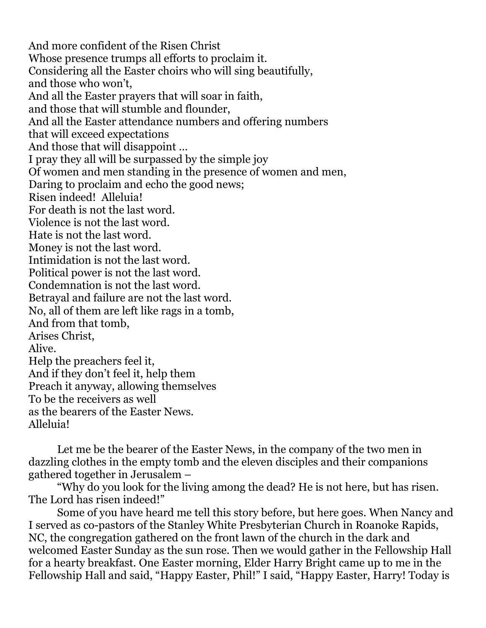And more confident of the Risen Christ Whose presence trumps all efforts to proclaim it. Considering all the Easter choirs who will sing beautifully, and those who won't, And all the Easter prayers that will soar in faith, and those that will stumble and flounder, And all the Easter attendance numbers and offering numbers that will exceed expectations And those that will disappoint … I pray they all will be surpassed by the simple joy Of women and men standing in the presence of women and men, Daring to proclaim and echo the good news; Risen indeed! Alleluia! For death is not the last word. Violence is not the last word. Hate is not the last word. Money is not the last word. Intimidation is not the last word. Political power is not the last word. Condemnation is not the last word. Betrayal and failure are not the last word. No, all of them are left like rags in a tomb, And from that tomb, Arises Christ, Alive. Help the preachers feel it, And if they don't feel it, help them Preach it anyway, allowing themselves To be the receivers as well as the bearers of the Easter News. Alleluia!

 Let me be the bearer of the Easter News, in the company of the two men in dazzling clothes in the empty tomb and the eleven disciples and their companions gathered together in Jerusalem –

 "Why do you look for the living among the dead? He is not here, but has risen. The Lord has risen indeed!"

 Some of you have heard me tell this story before, but here goes. When Nancy and I served as co-pastors of the Stanley White Presbyterian Church in Roanoke Rapids, NC, the congregation gathered on the front lawn of the church in the dark and welcomed Easter Sunday as the sun rose. Then we would gather in the Fellowship Hall for a hearty breakfast. One Easter morning, Elder Harry Bright came up to me in the Fellowship Hall and said, "Happy Easter, Phil!" I said, "Happy Easter, Harry! Today is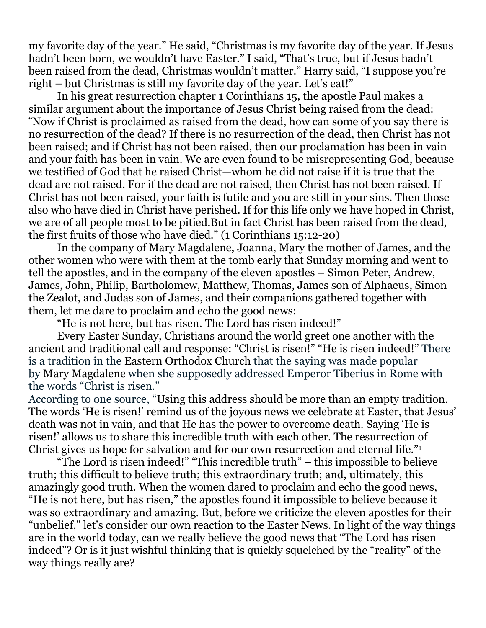my favorite day of the year." He said, "Christmas is my favorite day of the year. If Jesus hadn't been born, we wouldn't have Easter." I said, "That's true, but if Jesus hadn't been raised from the dead, Christmas wouldn't matter." Harry said, "I suppose you're right – but Christmas is still my favorite day of the year. Let's eat!"

 In his great resurrection chapter 1 Corinthians 15, the apostle Paul makes a similar argument about the importance of Jesus Christ being raised from the dead: **"**Now if Christ is proclaimed as raised from the dead, how can some of you say there is no resurrection of the dead? If there is no resurrection of the dead, then Christ has not been raised; and if Christ has not been raised, then our proclamation has been in vain and your faith has been in vain. We are even found to be misrepresenting God, because we testified of God that he raised Christ—whom he did not raise if it is true that the dead are not raised. For if the dead are not raised, then Christ has not been raised. If Christ has not been raised, your faith is futile and you are still in your sins. Then those also who have died in Christ have perished. If for this life only we have hoped in Christ, we are of all people most to be pitied.But in fact Christ has been raised from the dead, the first fruits of those who have died." (1 Corinthians 15:12-20)

 In the company of Mary Magdalene, Joanna, Mary the mother of James, and the other women who were with them at the tomb early that Sunday morning and went to tell the apostles, and in the company of the eleven apostles – Simon Peter, Andrew, James, John, Philip, Bartholomew, Matthew, Thomas, James son of Alphaeus, Simon the Zealot, and Judas son of James, and their companions gathered together with them, let me dare to proclaim and echo the good news:

"He is not here, but has risen. The Lord has risen indeed!"

 Every Easter Sunday, Christians around the world greet one another with the ancient and traditional call and response: "Christ is risen!" "He is risen indeed!" There is a tradition in the Eastern Orthodox Church that the saying was made popular by Mary Magdalene when she supposedly addressed Emperor Tiberius in Rome with the words "Christ is risen."

According to one source, "Using this address should be more than an empty tradition. The words 'He is risen!' remind us of the joyous news we celebrate at Easter, that Jesus' death was not in vain, and that He has the power to overcome death. Saying 'He is risen!' allows us to share this incredible truth with each other. The resurrection of Christ gives us hope for salvation and for our own resurrection and eternal life."<sup>1</sup>

 "The Lord is risen indeed!" "This incredible truth" – this impossible to believe truth; this difficult to believe truth; this extraordinary truth; and, ultimately, this amazingly good truth. When the women dared to proclaim and echo the good news, "He is not here, but has risen," the apostles found it impossible to believe because it was so extraordinary and amazing. But, before we criticize the eleven apostles for their "unbelief," let's consider our own reaction to the Easter News. In light of the way things are in the world today, can we really believe the good news that "The Lord has risen indeed"? Or is it just wishful thinking that is quickly squelched by the "reality" of the way things really are?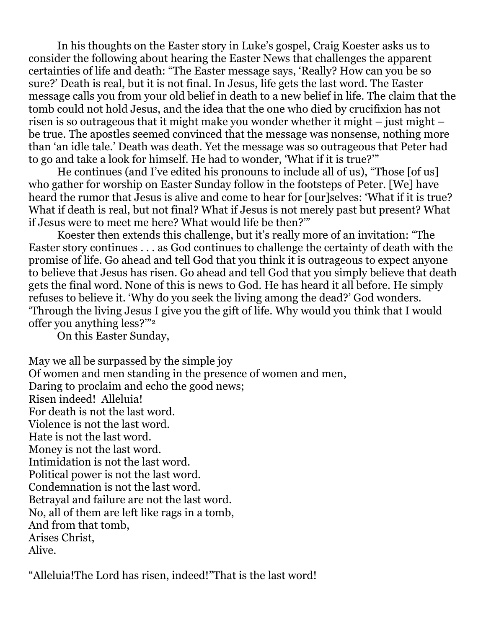In his thoughts on the Easter story in Luke's gospel, Craig Koester asks us to consider the following about hearing the Easter News that challenges the apparent certainties of life and death: "The Easter message says, 'Really? How can you be so sure?' Death is real, but it is not final. In Jesus, life gets the last word. The Easter message calls you from your old belief in death to a new belief in life. The claim that the tomb could not hold Jesus, and the idea that the one who died by crucifixion has not risen is so outrageous that it might make you wonder whether it might – just might – be true. The apostles seemed convinced that the message was nonsense, nothing more than 'an idle tale.' Death was death. Yet the message was so outrageous that Peter had to go and take a look for himself. He had to wonder, 'What if it is true?'"

 He continues (and I've edited his pronouns to include all of us), "Those [of us] who gather for worship on Easter Sunday follow in the footsteps of Peter. [We] have heard the rumor that Jesus is alive and come to hear for [our]selves: 'What if it is true? What if death is real, but not final? What if Jesus is not merely past but present? What if Jesus were to meet me here? What would life be then?'"

 Koester then extends this challenge, but it's really more of an invitation: "The Easter story continues . . . as God continues to challenge the certainty of death with the promise of life. Go ahead and tell God that you think it is outrageous to expect anyone to believe that Jesus has risen. Go ahead and tell God that you simply believe that death gets the final word. None of this is news to God. He has heard it all before. He simply refuses to believe it. 'Why do you seek the living among the dead?' God wonders. 'Through the living Jesus I give you the gift of life. Why would you think that I would offer you anything less?'"<sup>2</sup>

On this Easter Sunday,

May we all be surpassed by the simple joy Of women and men standing in the presence of women and men, Daring to proclaim and echo the good news; Risen indeed! Alleluia! For death is not the last word. Violence is not the last word. Hate is not the last word. Money is not the last word. Intimidation is not the last word. Political power is not the last word. Condemnation is not the last word. Betrayal and failure are not the last word. No, all of them are left like rags in a tomb, And from that tomb, Arises Christ, Alive.

"Alleluia!The Lord has risen, indeed!"That is the last word!